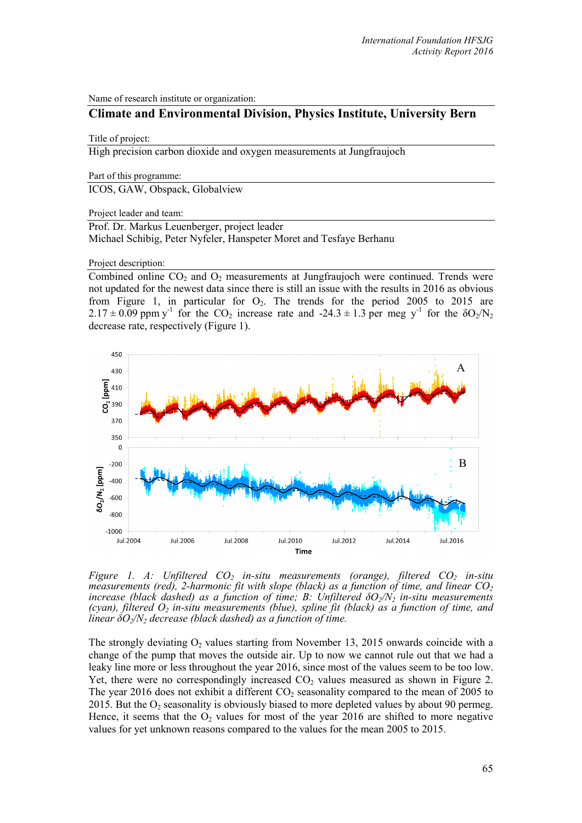Name of research institute or organization:

# **Climate and Environmental Division, Physics Institute, University Bern**

#### Title of project:

High precision carbon dioxide and oxygen measurements at Jungfraujoch

Part of this programme:

ICOS, GAW, Obspack, Globalview

Project leader and team:

Prof. Dr. Markus Leuenberger, project leader Michael Schibig, Peter Nyfeler, Hanspeter Moret and Tesfaye Berhanu

Project description:

Combined online  $CO<sub>2</sub>$  and  $O<sub>2</sub>$  measurements at Jungfraujoch were continued. Trends were not updated for the newest data since there is still an issue with the results in 2016 as obvious from Figure 1, in particular for  $O_2$ . The trends for the period 2005 to 2015 are  $2.17 \pm 0.09$  ppm y<sup>-1</sup> for the CO<sub>2</sub> increase rate and -24.3  $\pm$  1.3 per meg y<sup>-1</sup> for the  $\delta O_2/N_2$ decrease rate, respectively (Figure 1).



*Figure 1. A: Unfiltered CO<sub>2</sub> in-situ measurements (orange), filtered CO<sub>2</sub> in-situ measurements (red), 2-harmonic fit with slope (black) as a function of time, and linear CO<sub>2</sub> increase (black dashed) as a function of time; B: Unfiltered*  $\delta O_2/N_2$  *in-situ measurements (cyan), filtered*  $O_2$  *in-situ measurements (blue), spline fit (black) as a function of time, and linear*  $\delta O_2/N_2$  *decrease (black dashed) as a function of time.* 

The strongly deviating  $O_2$  values starting from November 13, 2015 onwards coincide with a change of the pump that moves the outside air. Up to now we cannot rule out that we had a leaky line more or less throughout the year 2016, since most of the values seem to be too low. Yet, there were no correspondingly increased  $CO<sub>2</sub>$  values measured as shown in Figure 2. The year 2016 does not exhibit a different  $CO<sub>2</sub>$  seasonality compared to the mean of 2005 to 2015. But the O2 seasonality is obviously biased to more depleted values by about 90 permeg. Hence, it seems that the  $O<sub>2</sub>$  values for most of the year 2016 are shifted to more negative values for yet unknown reasons compared to the values for the mean 2005 to 2015.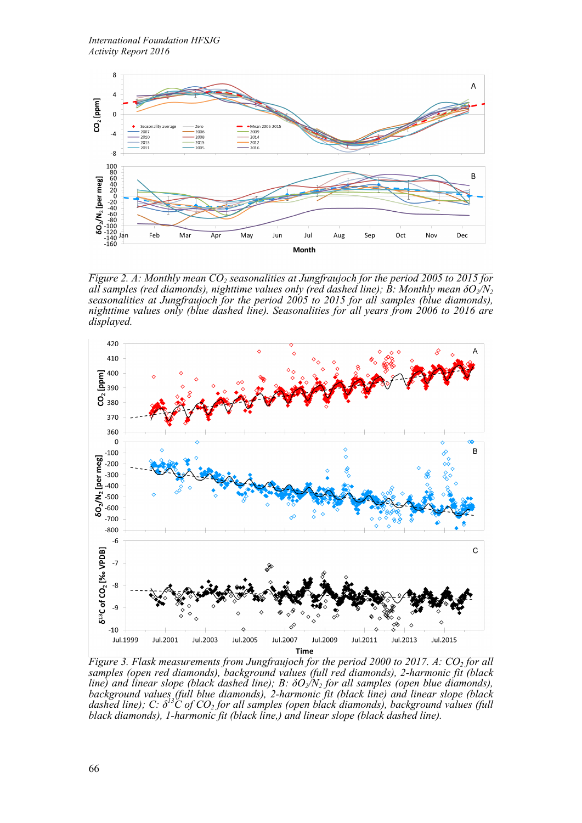

*Figure 2. A: Monthly mean CO<sub>2</sub> seasonalities at Jungfraujoch for the period 2005 to 2015 for all samples (red diamonds), nighttime values only (red dashed line); B: Monthly mean*  $\delta O_2/N_2$  *seasonalities at Jungfraujoch for the period 2005 to 2015 for all samples (blue diamonds), seasonalities at Jungfraujoch for the period 2005 to 2015 for all samples (blue diamonds), nighttime values only (blue dashed line). Seasonalities for all years from 2006 to 2016 are displayed.*



*Figure 3. Flask measurements from Jungfraujoch for the period 2000 to 2017. A: CO<sub>2</sub> for all samples (open red diamonds), background values (full red diamonds), 2-harmonic fit (black line)* and *linear slope (black dashed line); B:*  $\delta O_2/N_2$  *for all samples (open blue diamonds), background values (full blue diamonds), 2-harmonic fit (black line) and linear slope (black dashed line); C: δ13C of CO2 for all samples (open black diamonds), background values (full black diamonds), 1-harmonic fit (black line,) and linear slope (black dashed line).*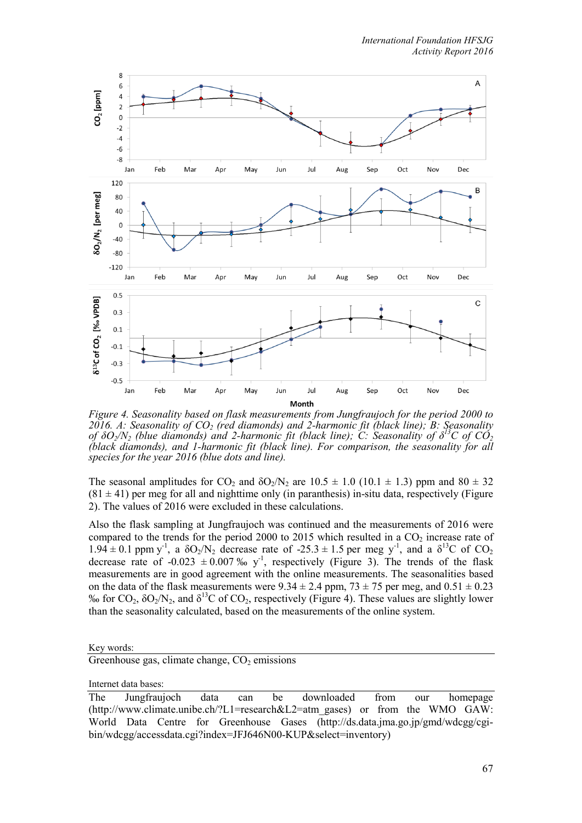

*Figure 4. Seasonality based on flask measurements from Jungfraujoch for the period 2000 to 2016. A: Seasonality of CO2 (red diamonds) and 2-harmonic fit (black line); B: Seasonality of*  $\delta O_2/N_2$  *(blue diamonds)* and 2-harmonic fit (black line); C: Seasonality of  $\delta^{13}C$  of  $CO_2$ *(black diamonds), and 1-harmonic fit (black line). For comparison, the seasonality for all species for the year 2016 (blue dots and line).*

The seasonal amplitudes for CO<sub>2</sub> and  $\delta O_2/N_2$  are 10.5  $\pm$  1.0 (10.1  $\pm$  1.3) ppm and 80  $\pm$  32  $(81 \pm 41)$  per meg for all and nighttime only (in paranthesis) in-situ data, respectively (Figure 2). The values of 2016 were excluded in these calculations.

Also the flask sampling at Jungfraujoch was continued and the measurements of 2016 were compared to the trends for the period 2000 to 2015 which resulted in a  $CO<sub>2</sub>$  increase rate of  $1.94 \pm 0.1$  ppm y<sup>-1</sup>, a  $\delta O_2/N_2$  decrease rate of -25.3  $\pm$  1.5 per meg y<sup>-1</sup>, and a  $\delta^{13}C$  of CO<sub>2</sub> decrease rate of -0.023  $\pm$  0.007 ‰ y<sup>-1</sup>, respectively (Figure 3). The trends of the flask measurements are in good agreement with the online measurements. The seasonalities based on the data of the flask measurements were  $9.34 \pm 2.4$  ppm,  $73 \pm 75$  per meg, and  $0.51 \pm 0.23$ % for  $CO_2$ ,  $\delta O_2/N_2$ , and  $\delta^{13}C$  of  $CO_2$ , respectively (Figure 4). These values are slightly lower than the seasonality calculated, based on the measurements of the online system.

Key words:

Greenhouse gas, climate change,  $CO<sub>2</sub>$  emissions

Internet data bases:

The Jungfraujoch data can be downloaded from our homepage (http://www.climate.unibe.ch/?L1=research&L2=atm\_gases) or from the WMO GAW: World Data Centre for Greenhouse Gases (http://ds.data.jma.go.jp/gmd/wdcgg/cgibin/wdcgg/accessdata.cgi?index=JFJ646N00-KUP&select=inventory)